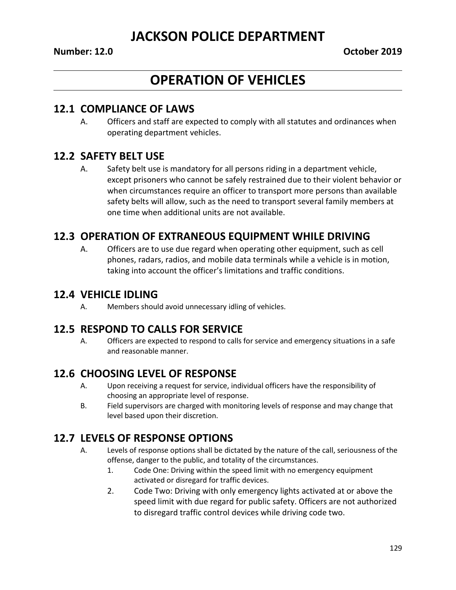# **OPERATION OF VEHICLES**

#### **12.1 COMPLIANCE OF LAWS**

A. Officers and staff are expected to comply with all statutes and ordinances when operating department vehicles.

#### **12.2 SAFETY BELT USE**

A. Safety belt use is mandatory for all persons riding in a department vehicle, except prisoners who cannot be safely restrained due to their violent behavior or when circumstances require an officer to transport more persons than available safety belts will allow, such as the need to transport several family members at one time when additional units are not available.

#### **12.3 OPERATION OF EXTRANEOUS EQUIPMENT WHILE DRIVING**

A. Officers are to use due regard when operating other equipment, such as cell phones, radars, radios, and mobile data terminals while a vehicle is in motion, taking into account the officer's limitations and traffic conditions.

#### **12.4 VEHICLE IDLING**

A. Members should avoid unnecessary idling of vehicles.

#### **12.5 RESPOND TO CALLS FOR SERVICE**

A. Officers are expected to respond to calls for service and emergency situations in a safe and reasonable manner.

#### **12.6 CHOOSING LEVEL OF RESPONSE**

- A. Upon receiving a request for service, individual officers have the responsibility of choosing an appropriate level of response.
- B. Field supervisors are charged with monitoring levels of response and may change that level based upon their discretion.

#### **12.7 LEVELS OF RESPONSE OPTIONS**

- A. Levels of response options shall be dictated by the nature of the call, seriousness of the offense, danger to the public, and totality of the circumstances.
	- 1. Code One: Driving within the speed limit with no emergency equipment activated or disregard for traffic devices.
	- 2. Code Two: Driving with only emergency lights activated at or above the speed limit with due regard for public safety. Officers are not authorized to disregard traffic control devices while driving code two.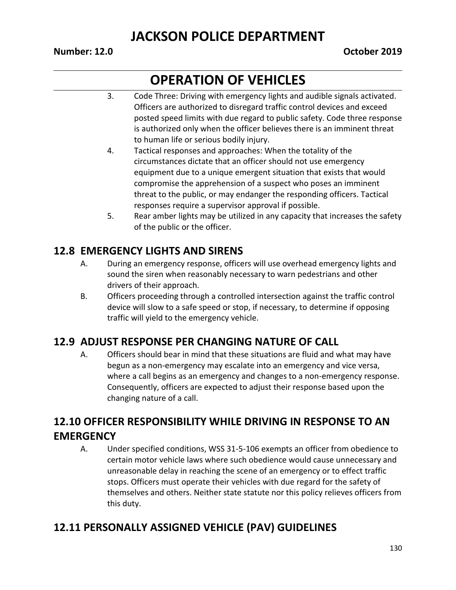#### **Number: 12.0 October 2019**

# **OPERATION OF VEHICLES**

- 3. Code Three: Driving with emergency lights and audible signals activated. Officers are authorized to disregard traffic control devices and exceed posted speed limits with due regard to public safety. Code three response is authorized only when the officer believes there is an imminent threat to human life or serious bodily injury.
- 4. Tactical responses and approaches: When the totality of the circumstances dictate that an officer should not use emergency equipment due to a unique emergent situation that exists that would compromise the apprehension of a suspect who poses an imminent threat to the public, or may endanger the responding officers. Tactical responses require a supervisor approval if possible.
- 5. Rear amber lights may be utilized in any capacity that increases the safety of the public or the officer.

#### **12.8 EMERGENCY LIGHTS AND SIRENS**

- A. During an emergency response, officers will use overhead emergency lights and sound the siren when reasonably necessary to warn pedestrians and other drivers of their approach.
- B. Officers proceeding through a controlled intersection against the traffic control device will slow to a safe speed or stop, if necessary, to determine if opposing traffic will yield to the emergency vehicle.

#### **12.9 ADJUST RESPONSE PER CHANGING NATURE OF CALL**

A. Officers should bear in mind that these situations are fluid and what may have begun as a non-emergency may escalate into an emergency and vice versa, where a call begins as an emergency and changes to a non-emergency response. Consequently, officers are expected to adjust their response based upon the changing nature of a call.

#### **12.10 OFFICER RESPONSIBILITY WHILE DRIVING IN RESPONSE TO AN EMERGENCY**

A. Under specified conditions, WSS 31-5-106 exempts an officer from obedience to certain motor vehicle laws where such obedience would cause unnecessary and unreasonable delay in reaching the scene of an emergency or to effect traffic stops. Officers must operate their vehicles with due regard for the safety of themselves and others. Neither state statute nor this policy relieves officers from this duty.

#### **12.11 PERSONALLY ASSIGNED VEHICLE (PAV) GUIDELINES**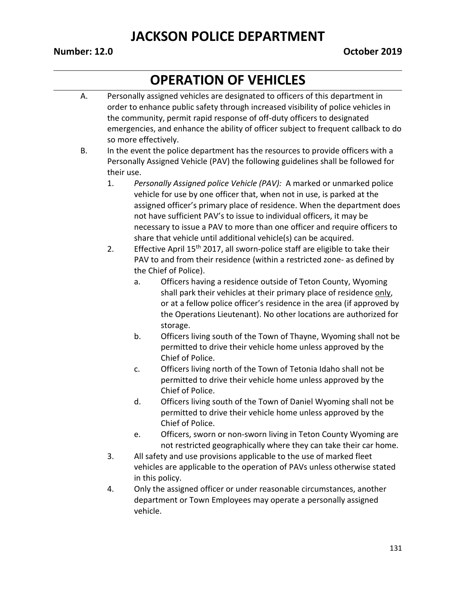#### **Number: 12.0 October 2019**

- A. Personally assigned vehicles are designated to officers of this department in order to enhance public safety through increased visibility of police vehicles in the community, permit rapid response of off-duty officers to designated emergencies, and enhance the ability of officer subject to frequent callback to do so more effectively.
- B. In the event the police department has the resources to provide officers with a Personally Assigned Vehicle (PAV) the following guidelines shall be followed for their use.
	- 1. *Personally Assigned police Vehicle (PAV):* A marked or unmarked police vehicle for use by one officer that, when not in use, is parked at the assigned officer's primary place of residence. When the department does not have sufficient PAV's to issue to individual officers, it may be necessary to issue a PAV to more than one officer and require officers to share that vehicle until additional vehicle(s) can be acquired.
	- 2. Effective April  $15<sup>th</sup>$  2017, all sworn-police staff are eligible to take their PAV to and from their residence (within a restricted zone- as defined by the Chief of Police).
		- a. Officers having a residence outside of Teton County, Wyoming shall park their vehicles at their primary place of residence only, or at a fellow police officer's residence in the area (if approved by the Operations Lieutenant). No other locations are authorized for storage.
		- b. Officers living south of the Town of Thayne, Wyoming shall not be permitted to drive their vehicle home unless approved by the Chief of Police.
		- c. Officers living north of the Town of Tetonia Idaho shall not be permitted to drive their vehicle home unless approved by the Chief of Police.
		- d. Officers living south of the Town of Daniel Wyoming shall not be permitted to drive their vehicle home unless approved by the Chief of Police.
		- e. Officers, sworn or non-sworn living in Teton County Wyoming are not restricted geographically where they can take their car home.
	- 3. All safety and use provisions applicable to the use of marked fleet vehicles are applicable to the operation of PAVs unless otherwise stated in this policy.
	- 4. Only the assigned officer or under reasonable circumstances, another department or Town Employees may operate a personally assigned vehicle.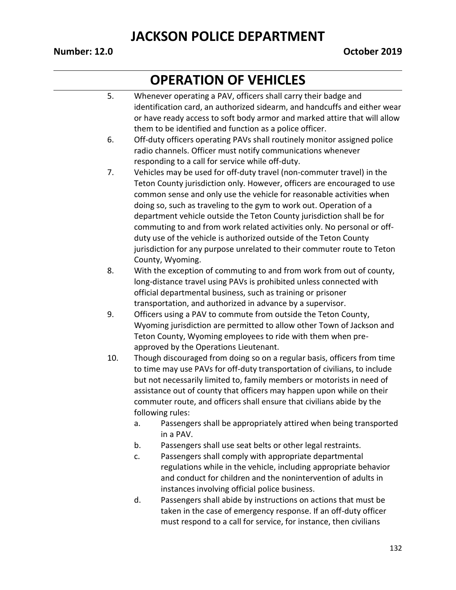#### **Number: 12.0 October 2019**

- 5. Whenever operating a PAV, officers shall carry their badge and identification card, an authorized sidearm, and handcuffs and either wear or have ready access to soft body armor and marked attire that will allow them to be identified and function as a police officer. 6. Off-duty officers operating PAVs shall routinely monitor assigned police
- radio channels. Officer must notify communications whenever responding to a call for service while off-duty.
- 7. Vehicles may be used for off-duty travel (non-commuter travel) in the Teton County jurisdiction only. However, officers are encouraged to use common sense and only use the vehicle for reasonable activities when doing so, such as traveling to the gym to work out. Operation of a department vehicle outside the Teton County jurisdiction shall be for commuting to and from work related activities only. No personal or offduty use of the vehicle is authorized outside of the Teton County jurisdiction for any purpose unrelated to their commuter route to Teton County, Wyoming.
- 8. With the exception of commuting to and from work from out of county, long-distance travel using PAVs is prohibited unless connected with official departmental business, such as training or prisoner transportation, and authorized in advance by a supervisor.
- 9. Officers using a PAV to commute from outside the Teton County, Wyoming jurisdiction are permitted to allow other Town of Jackson and Teton County, Wyoming employees to ride with them when preapproved by the Operations Lieutenant.
- 10. Though discouraged from doing so on a regular basis, officers from time to time may use PAVs for off-duty transportation of civilians, to include but not necessarily limited to, family members or motorists in need of assistance out of county that officers may happen upon while on their commuter route, and officers shall ensure that civilians abide by the following rules:
	- a. Passengers shall be appropriately attired when being transported in a PAV.
	- b. Passengers shall use seat belts or other legal restraints.
	- c. Passengers shall comply with appropriate departmental regulations while in the vehicle, including appropriate behavior and conduct for children and the nonintervention of adults in instances involving official police business.
	- d. Passengers shall abide by instructions on actions that must be taken in the case of emergency response. If an off-duty officer must respond to a call for service, for instance, then civilians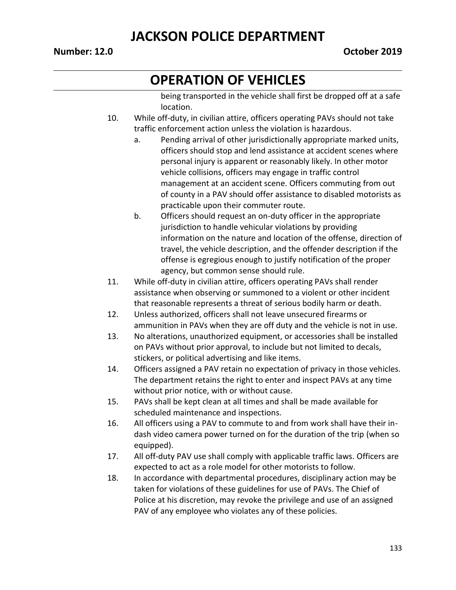# **OPERATION OF VEHICLES**

being transported in the vehicle shall first be dropped off at a safe location.

- 10. While off-duty, in civilian attire, officers operating PAVs should not take traffic enforcement action unless the violation is hazardous.
	- a. Pending arrival of other jurisdictionally appropriate marked units, officers should stop and lend assistance at accident scenes where personal injury is apparent or reasonably likely. In other motor vehicle collisions, officers may engage in traffic control management at an accident scene. Officers commuting from out of county in a PAV should offer assistance to disabled motorists as practicable upon their commuter route.
	- b. Officers should request an on-duty officer in the appropriate jurisdiction to handle vehicular violations by providing information on the nature and location of the offense, direction of travel, the vehicle description, and the offender description if the offense is egregious enough to justify notification of the proper agency, but common sense should rule.
- 11. While off-duty in civilian attire, officers operating PAVs shall render assistance when observing or summoned to a violent or other incident that reasonable represents a threat of serious bodily harm or death.
- 12. Unless authorized, officers shall not leave unsecured firearms or ammunition in PAVs when they are off duty and the vehicle is not in use.
- 13. No alterations, unauthorized equipment, or accessories shall be installed on PAVs without prior approval, to include but not limited to decals, stickers, or political advertising and like items.
- 14. Officers assigned a PAV retain no expectation of privacy in those vehicles. The department retains the right to enter and inspect PAVs at any time without prior notice, with or without cause.
- 15. PAVs shall be kept clean at all times and shall be made available for scheduled maintenance and inspections.
- 16. All officers using a PAV to commute to and from work shall have their indash video camera power turned on for the duration of the trip (when so equipped).
- 17. All off-duty PAV use shall comply with applicable traffic laws. Officers are expected to act as a role model for other motorists to follow.
- 18. In accordance with departmental procedures, disciplinary action may be taken for violations of these guidelines for use of PAVs. The Chief of Police at his discretion, may revoke the privilege and use of an assigned PAV of any employee who violates any of these policies.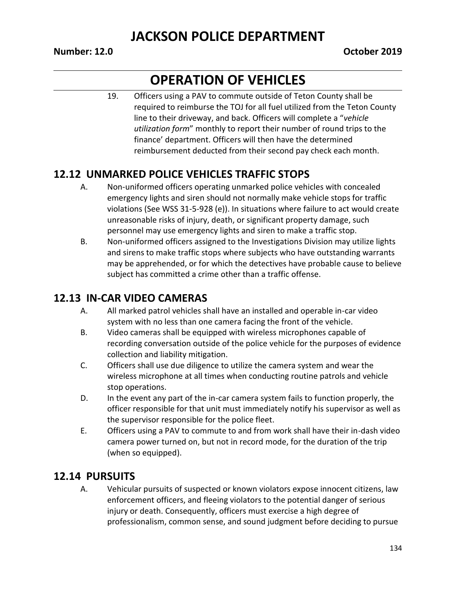#### **Number: 12.0 October 2019**

# **OPERATION OF VEHICLES**

19. Officers using a PAV to commute outside of Teton County shall be required to reimburse the TOJ for all fuel utilized from the Teton County line to their driveway, and back. Officers will complete a "*vehicle utilization form*" monthly to report their number of round trips to the finance' department. Officers will then have the determined reimbursement deducted from their second pay check each month.

#### **12.12 UNMARKED POLICE VEHICLES TRAFFIC STOPS**

- A. Non-uniformed officers operating unmarked police vehicles with concealed emergency lights and siren should not normally make vehicle stops for traffic violations (See WSS 31-5-928 (e)). In situations where failure to act would create unreasonable risks of injury, death, or significant property damage, such personnel may use emergency lights and siren to make a traffic stop.
- B. Non-uniformed officers assigned to the Investigations Division may utilize lights and sirens to make traffic stops where subjects who have outstanding warrants may be apprehended, or for which the detectives have probable cause to believe subject has committed a crime other than a traffic offense.

#### **12.13 IN-CAR VIDEO CAMERAS**

- A. All marked patrol vehicles shall have an installed and operable in-car video system with no less than one camera facing the front of the vehicle.
- B. Video cameras shall be equipped with wireless microphones capable of recording conversation outside of the police vehicle for the purposes of evidence collection and liability mitigation.
- C. Officers shall use due diligence to utilize the camera system and wear the wireless microphone at all times when conducting routine patrols and vehicle stop operations.
- D. In the event any part of the in-car camera system fails to function properly, the officer responsible for that unit must immediately notify his supervisor as well as the supervisor responsible for the police fleet.
- E. Officers using a PAV to commute to and from work shall have their in-dash video camera power turned on, but not in record mode, for the duration of the trip (when so equipped).

#### **12.14 PURSUITS**

A. Vehicular pursuits of suspected or known violators expose innocent citizens, law enforcement officers, and fleeing violators to the potential danger of serious injury or death. Consequently, officers must exercise a high degree of professionalism, common sense, and sound judgment before deciding to pursue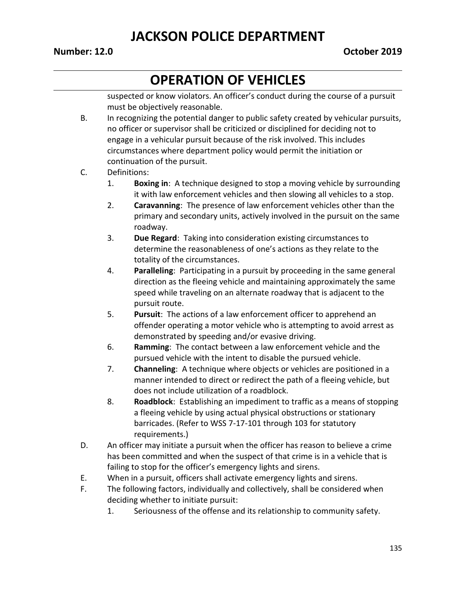#### **Number: 12.0 October 2019**

# **OPERATION OF VEHICLES**

suspected or know violators. An officer's conduct during the course of a pursuit must be objectively reasonable.

B. In recognizing the potential danger to public safety created by vehicular pursuits, no officer or supervisor shall be criticized or disciplined for deciding not to engage in a vehicular pursuit because of the risk involved. This includes circumstances where department policy would permit the initiation or continuation of the pursuit.

#### C. Definitions:

- 1. **Boxing in**: A technique designed to stop a moving vehicle by surrounding it with law enforcement vehicles and then slowing all vehicles to a stop.
- 2. **Caravanning**: The presence of law enforcement vehicles other than the primary and secondary units, actively involved in the pursuit on the same roadway.
- 3. **Due Regard**: Taking into consideration existing circumstances to determine the reasonableness of one's actions as they relate to the totality of the circumstances.
- 4. **Paralleling**: Participating in a pursuit by proceeding in the same general direction as the fleeing vehicle and maintaining approximately the same speed while traveling on an alternate roadway that is adjacent to the pursuit route.
- 5. **Pursuit**: The actions of a law enforcement officer to apprehend an offender operating a motor vehicle who is attempting to avoid arrest as demonstrated by speeding and/or evasive driving.
- 6. **Ramming**: The contact between a law enforcement vehicle and the pursued vehicle with the intent to disable the pursued vehicle.
- 7. **Channeling**: A technique where objects or vehicles are positioned in a manner intended to direct or redirect the path of a fleeing vehicle, but does not include utilization of a roadblock.
- 8. **Roadblock**: Establishing an impediment to traffic as a means of stopping a fleeing vehicle by using actual physical obstructions or stationary barricades. (Refer to WSS 7-17-101 through 103 for statutory requirements.)
- D. An officer may initiate a pursuit when the officer has reason to believe a crime has been committed and when the suspect of that crime is in a vehicle that is failing to stop for the officer's emergency lights and sirens.
- E. When in a pursuit, officers shall activate emergency lights and sirens.
- F. The following factors, individually and collectively, shall be considered when deciding whether to initiate pursuit:
	- 1. Seriousness of the offense and its relationship to community safety.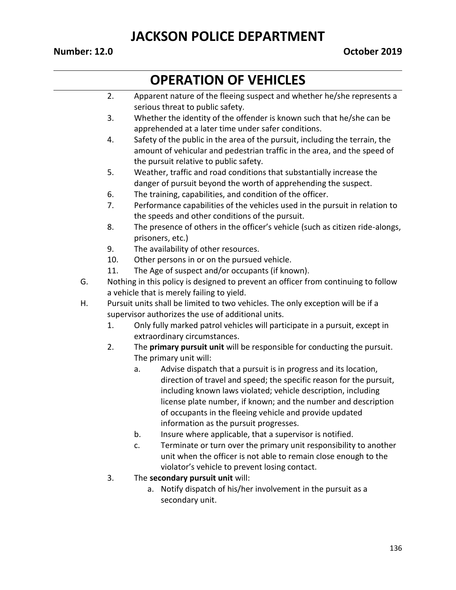#### **Number: 12.0 October 2019**

- 2. Apparent nature of the fleeing suspect and whether he/she represents a serious threat to public safety.
- 3. Whether the identity of the offender is known such that he/she can be apprehended at a later time under safer conditions.
- 4. Safety of the public in the area of the pursuit, including the terrain, the amount of vehicular and pedestrian traffic in the area, and the speed of the pursuit relative to public safety.
- 5. Weather, traffic and road conditions that substantially increase the danger of pursuit beyond the worth of apprehending the suspect.
- 6. The training, capabilities, and condition of the officer.
- 7. Performance capabilities of the vehicles used in the pursuit in relation to the speeds and other conditions of the pursuit.
- 8. The presence of others in the officer's vehicle (such as citizen ride-alongs, prisoners, etc.)
- 9. The availability of other resources.
- 10. Other persons in or on the pursued vehicle.
- 11. The Age of suspect and/or occupants (if known).
- G. Nothing in this policy is designed to prevent an officer from continuing to follow a vehicle that is merely failing to yield.
- H. Pursuit units shall be limited to two vehicles. The only exception will be if a supervisor authorizes the use of additional units.
	- 1. Only fully marked patrol vehicles will participate in a pursuit, except in extraordinary circumstances.
	- 2. The **primary pursuit unit** will be responsible for conducting the pursuit. The primary unit will:
		- a. Advise dispatch that a pursuit is in progress and its location, direction of travel and speed; the specific reason for the pursuit, including known laws violated; vehicle description, including license plate number, if known; and the number and description of occupants in the fleeing vehicle and provide updated information as the pursuit progresses.
		- b. Insure where applicable, that a supervisor is notified.
		- c. Terminate or turn over the primary unit responsibility to another unit when the officer is not able to remain close enough to the violator's vehicle to prevent losing contact.
	- 3. The **secondary pursuit unit** will:
		- a. Notify dispatch of his/her involvement in the pursuit as a secondary unit.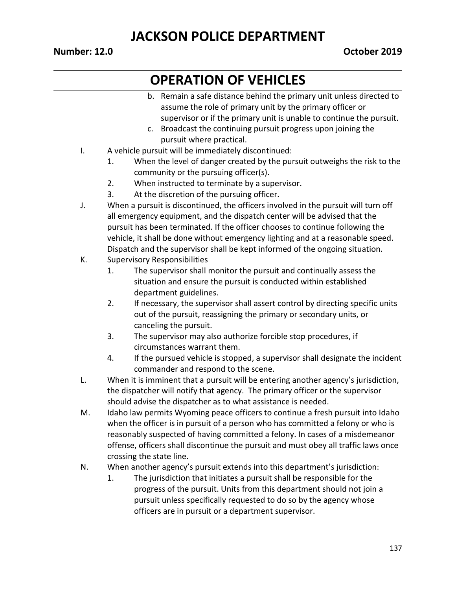#### **Number: 12.0 October 2019**

- b. Remain a safe distance behind the primary unit unless directed to assume the role of primary unit by the primary officer or supervisor or if the primary unit is unable to continue the pursuit.
- c. Broadcast the continuing pursuit progress upon joining the pursuit where practical.
- I. A vehicle pursuit will be immediately discontinued:
	- 1. When the level of danger created by the pursuit outweighs the risk to the community or the pursuing officer(s).
	- 2. When instructed to terminate by a supervisor.
	- 3. At the discretion of the pursuing officer.
- J. When a pursuit is discontinued, the officers involved in the pursuit will turn off all emergency equipment, and the dispatch center will be advised that the pursuit has been terminated. If the officer chooses to continue following the vehicle, it shall be done without emergency lighting and at a reasonable speed. Dispatch and the supervisor shall be kept informed of the ongoing situation.
- K. Supervisory Responsibilities
	- 1. The supervisor shall monitor the pursuit and continually assess the situation and ensure the pursuit is conducted within established department guidelines.
	- 2. If necessary, the supervisor shall assert control by directing specific units out of the pursuit, reassigning the primary or secondary units, or canceling the pursuit.
	- 3. The supervisor may also authorize forcible stop procedures, if circumstances warrant them.
	- 4. If the pursued vehicle is stopped, a supervisor shall designate the incident commander and respond to the scene.
- L. When it is imminent that a pursuit will be entering another agency's jurisdiction, the dispatcher will notify that agency. The primary officer or the supervisor should advise the dispatcher as to what assistance is needed.
- M. Idaho law permits Wyoming peace officers to continue a fresh pursuit into Idaho when the officer is in pursuit of a person who has committed a felony or who is reasonably suspected of having committed a felony. In cases of a misdemeanor offense, officers shall discontinue the pursuit and must obey all traffic laws once crossing the state line.
- N. When another agency's pursuit extends into this department's jurisdiction:
	- 1. The jurisdiction that initiates a pursuit shall be responsible for the progress of the pursuit. Units from this department should not join a pursuit unless specifically requested to do so by the agency whose officers are in pursuit or a department supervisor.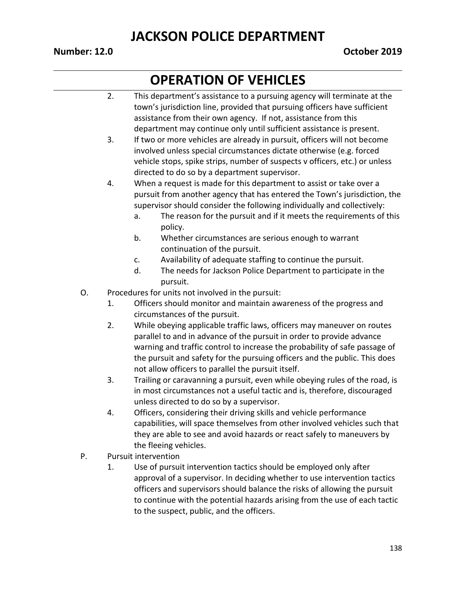#### **Number: 12.0 October 2019**

- 2. This department's assistance to a pursuing agency will terminate at the town's jurisdiction line, provided that pursuing officers have sufficient assistance from their own agency. If not, assistance from this department may continue only until sufficient assistance is present. 3. If two or more vehicles are already in pursuit, officers will not become involved unless special circumstances dictate otherwise (e.g. forced vehicle stops, spike strips, number of suspects v officers, etc.) or unless directed to do so by a department supervisor. 4. When a request is made for this department to assist or take over a pursuit from another agency that has entered the Town's jurisdiction, the supervisor should consider the following individually and collectively: a. The reason for the pursuit and if it meets the requirements of this policy. b. Whether circumstances are serious enough to warrant continuation of the pursuit. c. Availability of adequate staffing to continue the pursuit. d. The needs for Jackson Police Department to participate in the pursuit. O. Procedures for units not involved in the pursuit: 1. Officers should monitor and maintain awareness of the progress and circumstances of the pursuit. 2. While obeying applicable traffic laws, officers may maneuver on routes parallel to and in advance of the pursuit in order to provide advance warning and traffic control to increase the probability of safe passage of the pursuit and safety for the pursuing officers and the public. This does not allow officers to parallel the pursuit itself. 3. Trailing or caravanning a pursuit, even while obeying rules of the road, is in most circumstances not a useful tactic and is, therefore, discouraged unless directed to do so by a supervisor. 4. Officers, considering their driving skills and vehicle performance capabilities, will space themselves from other involved vehicles such that they are able to see and avoid hazards or react safely to maneuvers by the fleeing vehicles. P. Pursuit intervention 1. Use of pursuit intervention tactics should be employed only after
	- approval of a supervisor. In deciding whether to use intervention tactics officers and supervisors should balance the risks of allowing the pursuit to continue with the potential hazards arising from the use of each tactic to the suspect, public, and the officers.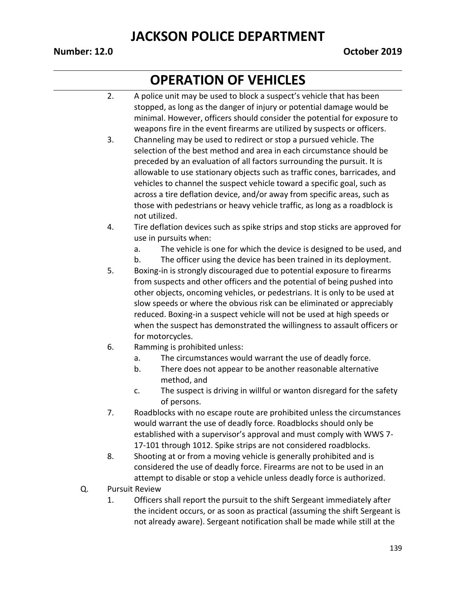#### **Number: 12.0 October 2019**

- 2. A police unit may be used to block a suspect's vehicle that has been stopped, as long as the danger of injury or potential damage would be minimal. However, officers should consider the potential for exposure to weapons fire in the event firearms are utilized by suspects or officers.
- 3. Channeling may be used to redirect or stop a pursued vehicle. The selection of the best method and area in each circumstance should be preceded by an evaluation of all factors surrounding the pursuit. It is allowable to use stationary objects such as traffic cones, barricades, and vehicles to channel the suspect vehicle toward a specific goal, such as across a tire deflation device, and/or away from specific areas, such as those with pedestrians or heavy vehicle traffic, as long as a roadblock is not utilized.
- 4. Tire deflation devices such as spike strips and stop sticks are approved for use in pursuits when:
	- a. The vehicle is one for which the device is designed to be used, and
	- b. The officer using the device has been trained in its deployment.
- 5. Boxing-in is strongly discouraged due to potential exposure to firearms from suspects and other officers and the potential of being pushed into other objects, oncoming vehicles, or pedestrians. It is only to be used at slow speeds or where the obvious risk can be eliminated or appreciably reduced. Boxing-in a suspect vehicle will not be used at high speeds or when the suspect has demonstrated the willingness to assault officers or for motorcycles.
- 6. Ramming is prohibited unless:
	- a. The circumstances would warrant the use of deadly force.
	- b. There does not appear to be another reasonable alternative method, and
	- c. The suspect is driving in willful or wanton disregard for the safety of persons.
- 7. Roadblocks with no escape route are prohibited unless the circumstances would warrant the use of deadly force. Roadblocks should only be established with a supervisor's approval and must comply with WWS 7- 17-101 through 1012. Spike strips are not considered roadblocks.
- 8. Shooting at or from a moving vehicle is generally prohibited and is considered the use of deadly force. Firearms are not to be used in an attempt to disable or stop a vehicle unless deadly force is authorized.
- Q. Pursuit Review
	- 1. Officers shall report the pursuit to the shift Sergeant immediately after the incident occurs, or as soon as practical (assuming the shift Sergeant is not already aware). Sergeant notification shall be made while still at the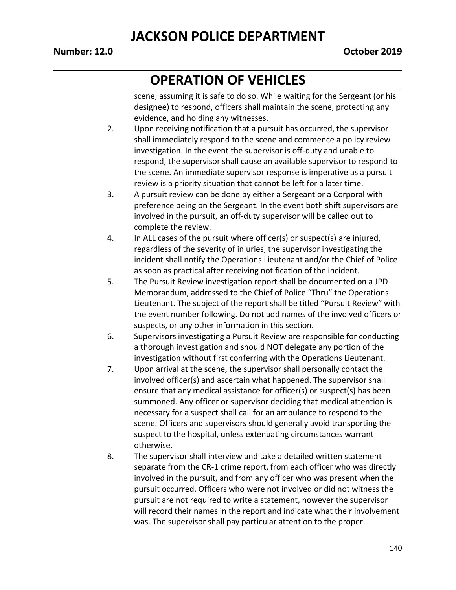#### **Number: 12.0 October 2019**

# **OPERATION OF VEHICLES**

scene, assuming it is safe to do so. While waiting for the Sergeant (or his designee) to respond, officers shall maintain the scene, protecting any evidence, and holding any witnesses.

- 2. Upon receiving notification that a pursuit has occurred, the supervisor shall immediately respond to the scene and commence a policy review investigation. In the event the supervisor is off-duty and unable to respond, the supervisor shall cause an available supervisor to respond to the scene. An immediate supervisor response is imperative as a pursuit review is a priority situation that cannot be left for a later time.
- 3. A pursuit review can be done by either a Sergeant or a Corporal with preference being on the Sergeant. In the event both shift supervisors are involved in the pursuit, an off-duty supervisor will be called out to complete the review.
- 4. In ALL cases of the pursuit where officer(s) or suspect(s) are injured, regardless of the severity of injuries, the supervisor investigating the incident shall notify the Operations Lieutenant and/or the Chief of Police as soon as practical after receiving notification of the incident.
- 5. The Pursuit Review investigation report shall be documented on a JPD Memorandum, addressed to the Chief of Police "Thru" the Operations Lieutenant. The subject of the report shall be titled "Pursuit Review" with the event number following. Do not add names of the involved officers or suspects, or any other information in this section.
- 6. Supervisors investigating a Pursuit Review are responsible for conducting a thorough investigation and should NOT delegate any portion of the investigation without first conferring with the Operations Lieutenant.
- 7. Upon arrival at the scene, the supervisor shall personally contact the involved officer(s) and ascertain what happened. The supervisor shall ensure that any medical assistance for officer(s) or suspect(s) has been summoned. Any officer or supervisor deciding that medical attention is necessary for a suspect shall call for an ambulance to respond to the scene. Officers and supervisors should generally avoid transporting the suspect to the hospital, unless extenuating circumstances warrant otherwise.
- 8. The supervisor shall interview and take a detailed written statement separate from the CR-1 crime report, from each officer who was directly involved in the pursuit, and from any officer who was present when the pursuit occurred. Officers who were not involved or did not witness the pursuit are not required to write a statement, however the supervisor will record their names in the report and indicate what their involvement was. The supervisor shall pay particular attention to the proper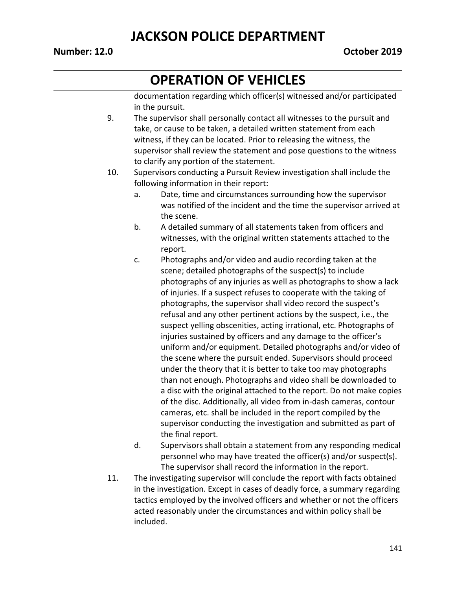#### **Number: 12.0 October 2019**

# **OPERATION OF VEHICLES**

documentation regarding which officer(s) witnessed and/or participated in the pursuit.

- 9. The supervisor shall personally contact all witnesses to the pursuit and take, or cause to be taken, a detailed written statement from each witness, if they can be located. Prior to releasing the witness, the supervisor shall review the statement and pose questions to the witness to clarify any portion of the statement.
- 10. Supervisors conducting a Pursuit Review investigation shall include the following information in their report:
	- a. Date, time and circumstances surrounding how the supervisor was notified of the incident and the time the supervisor arrived at the scene.
	- b. A detailed summary of all statements taken from officers and witnesses, with the original written statements attached to the report.
	- c. Photographs and/or video and audio recording taken at the scene; detailed photographs of the suspect(s) to include photographs of any injuries as well as photographs to show a lack of injuries. If a suspect refuses to cooperate with the taking of photographs, the supervisor shall video record the suspect's refusal and any other pertinent actions by the suspect, i.e., the suspect yelling obscenities, acting irrational, etc. Photographs of injuries sustained by officers and any damage to the officer's uniform and/or equipment. Detailed photographs and/or video of the scene where the pursuit ended. Supervisors should proceed under the theory that it is better to take too may photographs than not enough. Photographs and video shall be downloaded to a disc with the original attached to the report. Do not make copies of the disc. Additionally, all video from in-dash cameras, contour cameras, etc. shall be included in the report compiled by the supervisor conducting the investigation and submitted as part of the final report.
	- d. Supervisors shall obtain a statement from any responding medical personnel who may have treated the officer(s) and/or suspect(s). The supervisor shall record the information in the report.
- 11. The investigating supervisor will conclude the report with facts obtained in the investigation. Except in cases of deadly force, a summary regarding tactics employed by the involved officers and whether or not the officers acted reasonably under the circumstances and within policy shall be included.